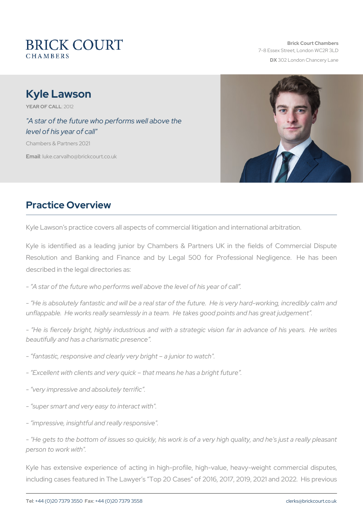# Kyle Lawson

YEAR OF CA210L12

#### "A star of the future who performs well above the level of his year of call"

Chambers & Partners 2021

Emailuke.carvalho@brickcourt.co.uk

## Practice Overview

Kyle Lawson s practice covers all aspects of commercial litigation and

Kyle is identified as a leading junior by Chambers & Partners UK Resolution and Banking and Finance and by Legal 500 for Prof described in the legal directories as:

- A star of the bifout puese for wrent is above the level of his year of call.

- He is absolutely fantastic and will be a real star of the future. He unflappable. He works really seamlessly in a team. He takes good po

He is fiercely bright, highly industrious and with a strategic vision beautifully and has a charismatic presence .

- fantastic, responsive and clearly very bright a junior to watch".
- Excellent with clients and very quick that means he has a bright function
- very impressive and absolutely terrific.
- super smart and very easy to interact with".
- impressive, insightful and really responsive".

- "He gets to the bottom of issues so quickly, his work is of a very high quality person to work with".

Kyle has extensive experience of acting in high-profile, high-value including cases featured in The Lawyer s Top 20 Cases of 2016, 201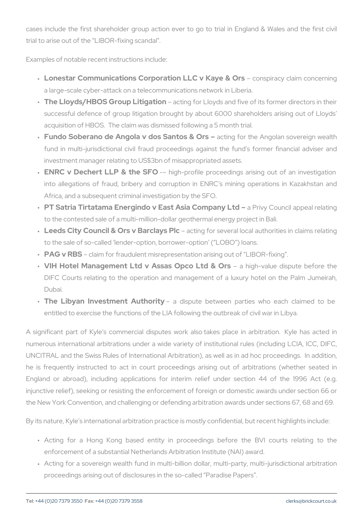cases include the first shareholder group action ever to go to trial trial to arise out of the LIBOR-fixing scandal .

Examples of notable recent instructions include:

- " Lonestar Communications Corporation LLGConvspKinaaycey & IaOinnscone a large-scale cyber-attack on a telecommunications network in Lib
- " The Lloyds/HBOS Group Laidtignagtifoon Lloyds and five of its former successful defence of group litigation brought by about 6000 shareholders acquisition of THE C C Saim was dismissed following a 5 month trial.
- " Fundo Soberano de Angola v dosacStenngtofor&th@rAtngolan sovere fund in multi-jurisdictional civil fraud proceedings against the investment manager relating to US\$3bn of misappropriated assets.
- " ENRC v Dechert LLP & thigh SpFF Ofile proceedings arising out o into allegations of fraud, bribery and corruption in ENRC s mi Africa, and a subsequent criminal investigation by the SFO.
- " PT Satria Tirtatama Energindo v East AshPaivCyo©nopuanncyillatpobeal to the contested sale of a multi-million-dollar geothermal energy p
- " Leeds City Council & Ors v aBcatroglafyos Beloveral local authorities to the sale of so-called lender-option, borrower-option (LOBO)
- " PAG v RBcSaim for fraudulent misrepresentation arising out of LIB
- " VIH Hotel Management Ltd v Assas @ipbcioghLtvellu&e @irsspute be DIFC Courts relating to the operation and management of a lux Dubai.
- " The Libyan Investment Aautohiospiotye between parties who eac entitled to exercise the functions of the LIA following the outbreal

A significant part of Kyle s commercial disputes work also takes p numerous international arbitrations under a wide variety of institutional UNCITRAL and the Swiss Rules of International Arbitration), as well he is frequently instructed to act in court proceedings arising or England or abroad), including applications for interim relief und injunctive relief), seeking or resisting the enforcement of foreign or the New York Convention, and challenging or defending arbitration aw

By its nature, Kyle s international arbitration practice is mostly confidently

- " Acting for a Hong Kong based entity in proceedings before enforcement of a substantial Netherlands Arbitration Institute (NA
- " Acting for a sovereign wealth fund in multi-billion dollar, multi-p proceedings arising out of disclosures in the so-called Paradise F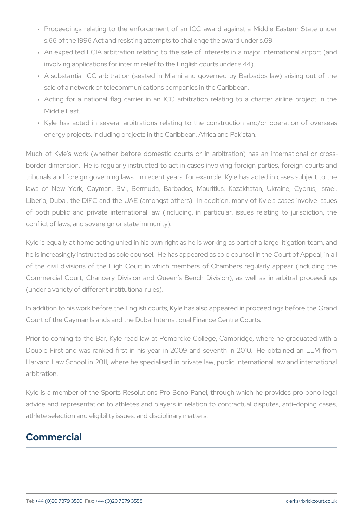- " Proceedings relating to the enforcement of an ICC award again s.66 of the 1996 Act and resisting attempts to challenge the award
- " An expedited LCIA arbitration relating to the sale of interests in involving applications for interim relief to the English courts unde
- " A substantial ICC arbitration (seated in Miami and governed by sale of a network of telecommunications companies in the Caribbe
- " Acting for a national flag carrier in an ICC arbitration relatin Middle East.
- " Kyle has acted in several arbitrations relating to the construc energy projects, including projects in the Caribbean, Africa and  $P_A$

Much of Kyle s work (whether before domestic courts or in arbitr border dimension. He is regularly instructed to act in cases involvi tribunals and foreign governing laws. In recent years, for example, laws of New York, Cayman, BVI, Bermuda, Barbados, Mauritius, Liberia, Dubai, the DIFC and the UAE (amongst others). In addition of both public and private international law (including, in particular conflict of laws, and sovereign or state immunity).

Kyle is equally at home acting unled in his own right as he is workin he is increasingly instructed as sole counsel. He has appeared as so of the civil divisions of the High Court in which members of Cham Commercial Court, Chancery Division and Queen s Bench Division (under a variety of different institutional rules).

In addition to his work before the English courts, Kyle has also appeared in Court of the Cayman Islands and the Dubai International Finance Cent

Prior to coming to the Bar, Kyle read law at Pembroke College, Ca Double First and was ranked first in his year in 2009 and seventh Harvard Law School in 2011, where he specialised in private law, pu arbitration.

Kyle is a member of the Sports Resolutions Pro Bono Panel, throug advice and representation to athletes and players in relation to con athlete selection and eligibility issues, and disciplinary matters.

### Commercial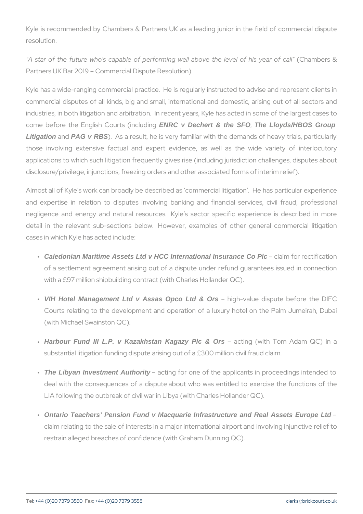Kyle is recommended by Chambers & Partners UK as a leading junio resolution.

"A star of the future who's capable of performing well Cahlamon beents he & Partners UK Bar 2019 Commercial Dispute Resolution)

Kyle has a wide-ranging commercial practice. He is regularly instruc commercial disputes of all kinds, big and small, international and d industries, in both litigation and arbitration. In recent years, Kyle has come before the English CENRC two Déciment & direngero , The Lloyds/HBOS Group Litigation anRAG v RBS). As a result, he is very familiar with the demands those involving extensive factual and expert evidence, as well applications to which such litigation frequently gives rise (including disclosure/privilege, injunctions, freezing orders and other associated

Almost all of Kyle s work can broadly be described as commercial lit and expertise in relation to disputes involving banking and finan negligence and energy and natural resources. Kyle s sector spec detail in the relevant sub-sections below. However, examples of cases in which Kyle has acted include:

- " Caledonian Maritime Assets Ltd v HCC International Insurance Co Plc claim for rectification of a settlement agreement arising out of a dispute under refund with a £97 million shipbuilding contract (with Charles Hollander Q
- " VIH Hotel Management Ltd v Assas Opco Ltd & Ors high-value dispute before Courts relating to the development and operation of a luxury ho (with Michael Swainston QC).
- "Harbour Fund III L.P. v Kazakhstan Kagazy Plc & Ors acting (with Tom Adam substantial litigation funding dispute arising out of a £300 million
- "The Libyan Investment Authority acting for one of the applicants in proce deal with the consequences of a dispute about who was entitled LIA following the outbreak of civil war in Libya (with Charles Hollander
- Ontario Teachers' Pension Fund v Macquarie Infrastructure and Real Assets Europe Ltd " claim relating to the sale of interests in a major international air restrain alleged breaches of confidence (with Graham Dunning QC).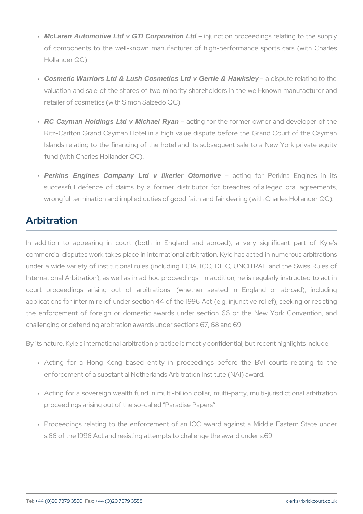- " McLaren Automotive Ltd v GTI Corporation Ltd injunction proceedings relating of components to the well-known manufacturer of high-performa Hollander QC)
- " Cosmetic Warriors Ltd & Lush Cosmetics Ltd v Gerrie & Hawksley a dispute relating valuation and sale of the shares of two minority shareholders in retailer of cosmetics (with Simon Salzedo QC).
- " RC Cayman Holdings Ltd v Michael Ryan acting for the former owner and d Ritz-Carlton Grand Cayman Hotel in a high value dispute before Islands relating to the financing of the hotel and its subsequent fund (with Charles Hollander QC).
- " Perkins Engines Company Ltd v Ilkerler Otomotive acting for Perkins En successful defence of claims by a former distributor for brea wrongful termination and implied duties of good faith and fair deal

### Arbitration

In addition to appearing in court (both in England and abroa commercial disputes work takes place in international arbitration. Ky under a wide variety of institutional rules (including LCIA, ICC, DIF International Arbitration), as well as in ad hoc proceedings. In addi court proceedings arising out of arbitrations (whether seated applications for interim relief under section 44 of the 1996 Act (e.g. the enforcement of foreign or domestic awards under section 66 challenging or defending arbitration awards under sections 67, 68 and

By its nature, Kyle s international arbitration practice is mostly confidently

- " Acting for a Hong Kong based entity in proceedings before enforcement of a substantial Netherlands Arbitration Institute (NA
- " Acting for a sovereign wealth fund in multi-billion dollar, multi-p proceedings arising out of the so-called Paradise Papers .
- " Proceedings relating to the enforcement of an ICC award again s.66 of the 1996 Act and resisting attempts to challenge the award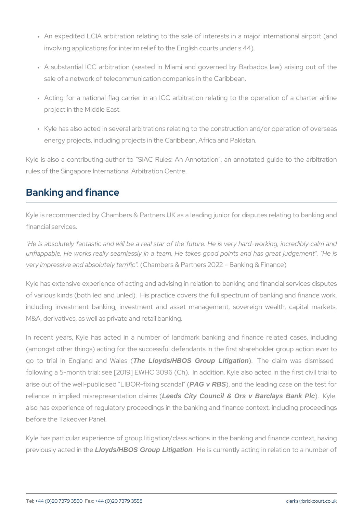- " An expedited LCIA arbitration relating to the sale of interests in involving applications for interim relief to the English courts unde
- " A substantial ICC arbitration (seated in Miami and governed by sale of a network of telecommunication companies in the Caribbea
- " Acting for a national flag carrier in an ICC arbitration relating project in the Middle East.
- " Kyle has also acted in several arbitrations relating to the constru energy projects, including projects in the Caribbean, Africa and Pa

Kyle is also a contributing author to SIAC Rules: An Annotation, rules of the Singapore International Arbitration Centre.

## Banking and finance

Kyle is recommended by Chambers & Partners UK as a leading junior financial services.

"He is absolutely fantastic and will be a real star of the future. He unflappable. He works really seamlessly in a team. He takes good p very impressive and abso(Dultamybers in the "artners 2022 Banking & Finan

Kyle has extensive experience of acting and advising in relation to b of various kinds (both led and unled). His practice covers the full s including investment banking, investment and asset management, M&A, derivatives, as well as private and retail banking.

In recent years, Kyle has acted in a number of landmark banking (amongst other things) acting for the successful defendants in the fir go to trial in England He Ladyds/HBAOS Group Litigation ). The claim was dis following a 5-month trial: see  $[2019]$  EWHC 3096 (Ch). In addition, I arise out of the well-publicised LPAGO GON-FIG in and canned a teading case on the leading case on the test for reliance in implied misrepr**et seeds Catyti Coonnoid Ra Orns sv Barclays Bank Plc** ). Kyle also has experience of regulatory proceedings in the banking and fin before the Takeover Panel.

Kyle has particular experience of group litigation/class actions in the previously acted work HBOS Broup Litigation . He is currently acting in relation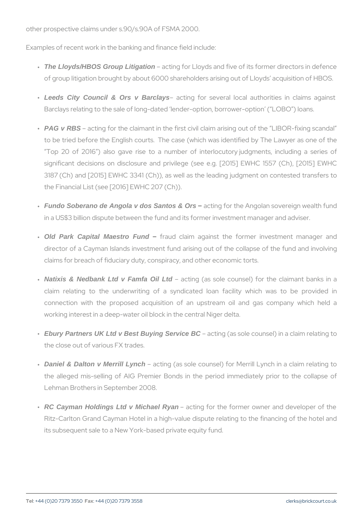other prospective claims under s.90/s.90A of FSMA 2000.

Examples of recent work in the banking and finance field include:

- "The Lloyds/HBOS Group Litigation acting for Lloyds and five of its former d of group litigation brought by about 6000 shareholders arising out
- "Leeds City Council & Ors v Barclays acting for several local authorities Barclays relating to the sale of long-dated lender-option, borrowe
- " PAG v RBS acting for the claimant in the first civil claim arising out to be tried before the English courts. The case (which was iden Top 20 of 2016 ) also gave rise to a number of interlocuto significant decisions on disclosure and privilege (see e.g. [2015]  $3187$  (Ch) and  $[2015]$  EWHC 3341 (Ch)), as well as the leading ju the Financial List (see [2016] EWHC 207 (Ch)).
- " Fundo Soberano de Angola v dos Santos & Ors acting for the Angolan sovereign in a US\$3 billion dispute between the fund and its former investme
- " Old Park Capital Maestro Fund fraud claim against the former investr director of a Cayman Islands investment fund arising out of the claims for breach of fiduciary duty, conspiracy, and other economi
- "Natixis & Nedbank Ltd v Famfa Oil Ltd acting (as sole counsel) for the cl claim relating to the underwriting of a syndicated loan fac connection with the proposed acquisition of an upstream oil working interest in a deep-water oil block in the central Niger delt
- " Ebury Partners UK Ltd v Best Buying Service BC acting (as sole counsel) in a cl the close out of various FX trades.
- "Daniel & Dalton v Merrill Lynch acting (as sole counsel) for Merrill Lynch the alleged mis-selling of AIG Premier Bonds in the period im Lehman Brothers in September 2008.
- " RC Cayman Holdings Ltd v Michael Ryan acting for the former owner and de Ritz-Carlton Grand Cayman Hotel in a high-value dispute relating its subsequent sale to a New York-based private equity fund.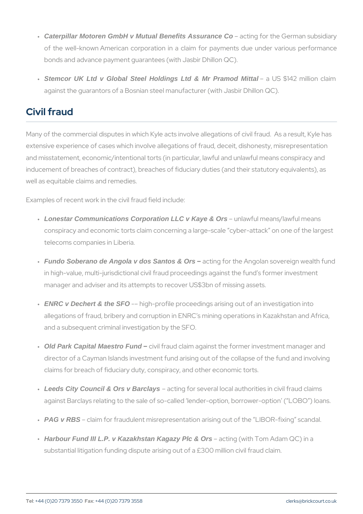- " Caterpillar Motoren GmbH v Mutual Benefits Assurance Co acting for the German su of the well-known American corporation in a claim for payments bonds and advance payment guarantees (with Jasbir Dhillon QC).
- " Stemcor UK Ltd v Global Steel Holdings Ltd & Mr Pramod Mittal a US \$142 million against the guarantors of a Bosnian steel manufacturer (with Jasb

## Civil fraud

Many of the commercial disputes in which Kyle acts involve allegation extensive experience of cases which involve allegations of fraud, dece and misstatement, economic/intentional torts (in particular, lawful and inducement of breaches of contract), breaches of fiduciary duties (and well as equitable claims and remedies.

Examples of recent work in the civil fraud field include:

- " Lonestar Communications Corporation LLC v Kaye & Ors unlawful means/lawful mea conspiracy and economic torts claim concerning a large-scale cyb telecoms companies in Liberia.
- " Fundo Soberano de Angola v dos Santos & Ors acting for the Angolan sovereign in high-value, multi-jurisdictional civil fraud proceedings against manager and adviser and its attempts to recover US\$3bn of missin
- " ENRC v Dechert & the SFO high-profile proceedings arising out of an inv allegations of fraud, bribery and corruption in ENRC s mining oper and a subsequent criminal investigation by the SFO.
- " Old Park Capital Maestro Fund civil fraud claim against the former investme director of a Cayman Islands investment fund arising out of the co claims for breach of fiduciary duty, conspiracy, and other economi
- "Leeds City Council & Orsv Barclays acting for several local authorities in ci against Barclays relating to the sale of so-called lender-option, b
- " PAG v RBS claim for fraudulent misrepresentation arising out of the
- "Harbour Fund III L.P. v Kazakhstan Kagazy Plc & Ors acting (with Tom Adam QC) in substantial litigation funding dispute arising out of a £300 million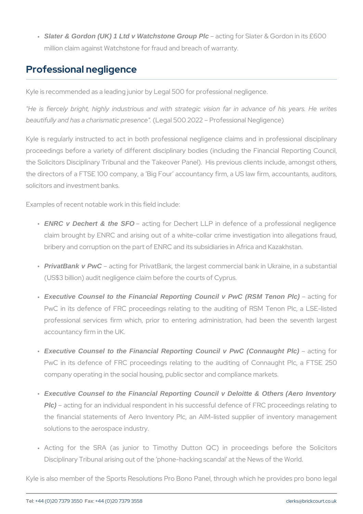" Slater & Gordon (UK) 1 Ltd v Watchstone Group Plc acting for Slater & Gordon in million claim against Watchstone for fraud and breach of warranty.

#### Professional negligence

Kyle is recommended as a leading junior by Legal 500 for professional

"He is fiercely bright, highly industrious and with strategic vision beautifully and has a chariss meagiad  $500s$  2022". Professional Negligence)

Kyle is regularly instructed to act in both professional negligence proceedings before a variety of different disciplinary bodies (includ the Solicitors Disciplinary Tribunal and the Takeover Panel). His pre the directors of a FTSE 100 company, a Big Four accountancy firm, solicitors and investment banks.

Examples of recent notable work in this field include:

- " ENRC v Dechert & the SFO acting for Dechert LLP in defence of a pro claim brought by ENRC and arising out of a white-collar crime i bribery and corruption on the part of ENRC and its subsidiaries in
- " PrivatBank v PwC acting for PrivatBank, the largest commercial bank (US\$3 billion) audit negligence claim before the courts of Cyprus.
- " Executive Counsel to the Financial Reporting Council v PwC (RSM Tenon Plc) acting for PwC in its defence of FRC proceedings relating to the auditing professional services firm which, prior to entering administrat accountancy firm in the UK.
- " Executive Counsel to the Financial Reporting Council v PwC (Connaught Plc) acting for PwC in its defence of FRC proceedings relating to the auditin company operating in the social housing, public sector and compli
- Executive Counsel to the Financial Reporting Council v Deloitte & Others (Aero Inventory " Plc) acting for an individual respondent in his successful defence the financial statements of Aero Inventory Plc, an AIM-listed s solutions to the aerospace industry.
- " Acting for the SRA (as junior to Timothy Dutton QC) in p Disciplinary Tribunal arising out of the phone-hacking scandal at

Kyle is also member of the Sports Resolutions Pro Bono Panel, throu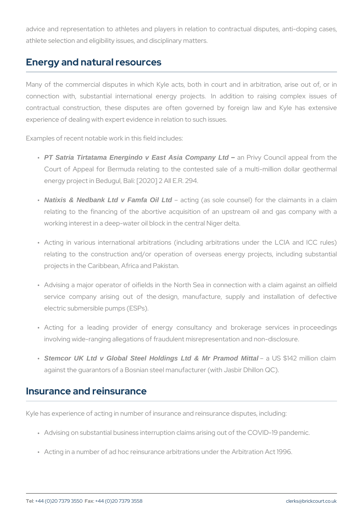advice and representation to athletes and players in relation to con athlete selection and eligibility issues, and disciplinary matters.

#### Energy and natural resources

Many of the commercial disputes in which Kyle acts, both in court connection with, substantial international energy projects. In a contractual construction, these disputes are often governed by f experience of dealing with expert evidence in relation to such issues.

Examples of recent notable work in this field includes:

- " PT Satria Tirtatama Energindo v East Asia Company Ltd an Privy Council appeal f Court of Appeal for Bermuda relating to the contested sale of energy project in Bedugul, Bali: [2020] 2 All E.R. 294.
- " Natixis & Nedbank Ltd v Famfa Oil Ltd acting (as sole counsel) for the cl relating to the financing of the abortive acquisition of an ups working interest in a deep-water oil block in the central Niger delt
- " Acting in various international arbitrations (including arbitratio relating to the construction and/or operation of overseas ener projects in the Caribbean, Africa and Pakistan.
- " Advising a major operator of oifields in the North Sea in connec service company arising out of the design, manufacture, sup electric submersible pumps (ESPs).
- " Acting for a leading provider of energy consultancy and b involving wide-ranging allegations of fraudulent misrepresentation
- " Stemcor UK Ltd v Global Steel Holdings Ltd & Mr Pramod Mittal a US \$142 million against the guarantors of a Bosnian steel manufacturer (with Jasb

#### Insurance and reinsurance

Kyle has experience of acting in number of insurance and reinsurance

- " Advising on substantial business interruption claims arising out of
- " Acting in a number of ad hoc reinsurance arbitrations under the Ar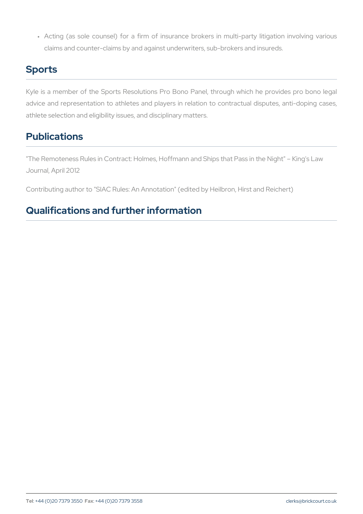" Acting (as sole counsel) for a firm of insurance brokers in mu claims and counter-claims by and against underwriters, sub-broker

## Sports

Kyle is a member of the Sports Resolutions Pro Bono Panel, throug advice and representation to athletes and players in relation to con athlete selection and eligibility issues, and disciplinary matters.

## Publications

"The Remoteness Rules in Contract: Holmes, Hoffmann and Ships that Journal, April 2012

Contributing author to "SIAC Rules: An Annotation" (edited by Heilbro

## Qualifications and further information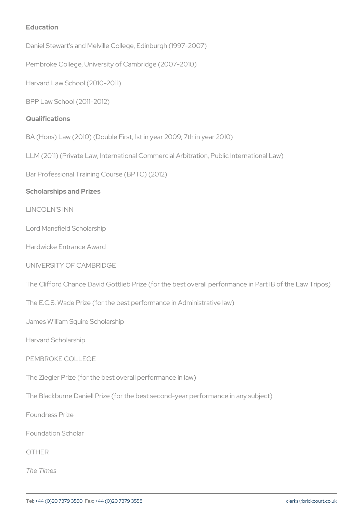Education Daniel Stewart's and Melville College, Edinburgh (1997-2007) Pembroke College, University of Cambridge (2007-2010) Harvard Law School (2010-2011) BPP Law School (2011-2012) Qualifications BA (Hons) Law (2010) (Double First, 1st in year 2009; 7th in year 201 LLM (2011) (Private Law, International Commercial Arbitration, Public Bar Professional Training Course (BPTC) (2012) Scholarships and Prizes LINCOLN'S INN Lord Mansfield Scholarship Hardwicke Entrance Award UNIVERSITY OF CAMBRIDGE The Clifford Chance David Gottlieb Prize (for the best overall perform The E.C.S. Wade Prize (for the best performance in Administrative law) James William Squire Scholarship Harvard Scholarship PEMBROKE COLLEGE The Ziegler Prize (for the best overall performance in law) The Blackburne Daniell Prize (for the best second-year performance in Foundress Prize Foundation Scholar OTHER

The Times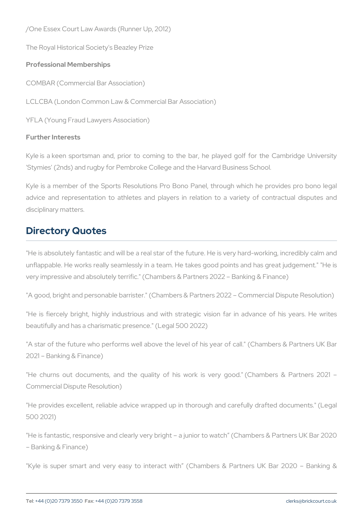/One Essex Court Law Awards (Runner Up, 2012) The Royal Historical Society's Beazley Prize Professional Memberships COMBAR (Commercial Bar Association) LCLCBA (London Common Law & Commercial Bar Association) YFLA (Young Fraud Lawyers Association)

Further Interests

Kyle is a keen sportsman and, prior to coming to the bar, he played 'Stymies' (2nds) and rugby for Pembroke College and the Harvard Busi

Kyle is a member of the Sports Resolutions Pro Bono Panel, throug advice and representation to athletes and players in relation to a disciplinary matters.

### Directory Quotes

"He is absolutely fantastic and will be a real star of the future. He is unflappable. He works really seamlessly in a team. He takes good po very impressive and absolutely terrific." (Chambers & Partners 2022

"A good, bright and personable barrister." (Chambers & Partners 2022

"He is fiercely bright, highly industrious and with strategic vision beautifully and has a charismatic presence." (Legal 500 2022)

"A star of the future who performs well above the level of his year of 2021 Banking & Finance)

"He churns out documents, and the quality of his work is very Commercial Dispute Resolution)

"He provides excellent, reliable advice wrapped up in thorough and 500 2021)

"He is fantastic, responsive and clearly very bright a junior to watcl Banking & Finance)

"Kyle is super smart and very easy to interact with (Chambers &